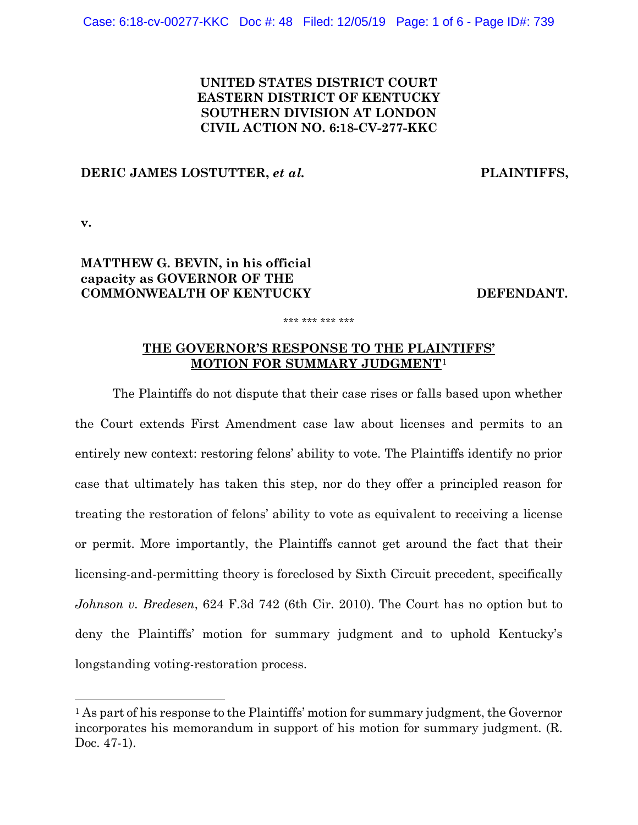## **UNITED STATES DISTRICT COURT EASTERN DISTRICT OF KENTUCKY SOUTHERN DIVISION AT LONDON CIVIL ACTION NO. 6:18-CV-277-KKC**

### **DERIC JAMES LOSTUTTER,** *et al.* **PLAINTIFFS,**

**v.**

 $\overline{a}$ 

# **MATTHEW G. BEVIN, in his official capacity as GOVERNOR OF THE COMMONWEALTH OF KENTUCKY DEFENDANT.**

## **THE GOVERNOR'S RESPONSE TO THE PLAINTIFFS' MOTION FOR SUMMARY JUDGMENT**[1](#page-0-0)

\*\*\* \*\*\* \*\*\* \*\*\*

The Plaintiffs do not dispute that their case rises or falls based upon whether the Court extends First Amendment case law about licenses and permits to an entirely new context: restoring felons' ability to vote. The Plaintiffs identify no prior case that ultimately has taken this step, nor do they offer a principled reason for treating the restoration of felons' ability to vote as equivalent to receiving a license or permit. More importantly, the Plaintiffs cannot get around the fact that their licensing-and-permitting theory is foreclosed by Sixth Circuit precedent, specifically *Johnson v. Bredesen*, 624 F.3d 742 (6th Cir. 2010). The Court has no option but to deny the Plaintiffs' motion for summary judgment and to uphold Kentucky's longstanding voting-restoration process.

<span id="page-0-0"></span><sup>&</sup>lt;sup>1</sup> As part of his response to the Plaintiffs' motion for summary judgment, the Governor incorporates his memorandum in support of his motion for summary judgment. (R. Doc. 47-1).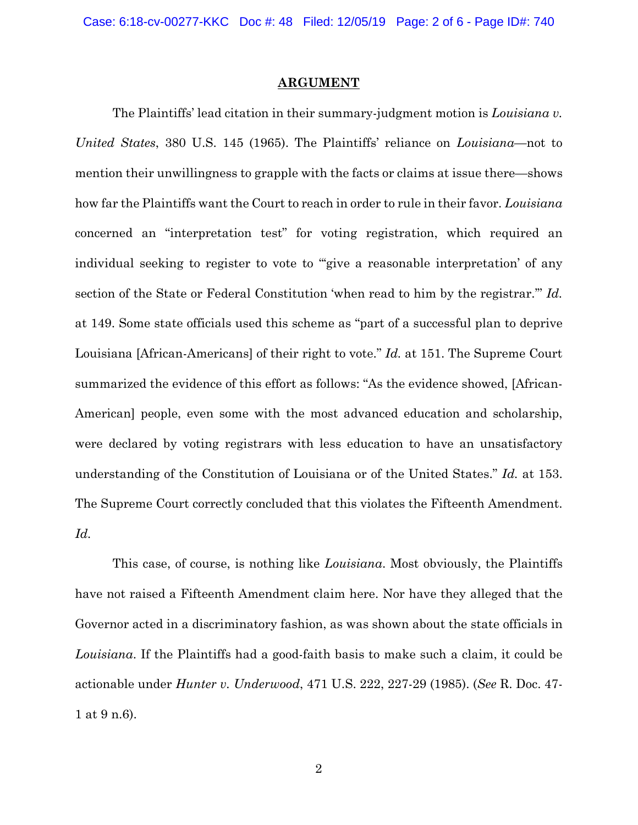Case: 6:18-cv-00277-KKC Doc #: 48 Filed: 12/05/19 Page: 2 of 6 - Page ID#: 740

#### **ARGUMENT**

The Plaintiffs' lead citation in their summary-judgment motion is *Louisiana v. United States*, 380 U.S. 145 (1965). The Plaintiffs' reliance on *Louisiana*—not to mention their unwillingness to grapple with the facts or claims at issue there—shows how far the Plaintiffs want the Court to reach in order to rule in their favor. *Louisiana* concerned an "interpretation test" for voting registration, which required an individual seeking to register to vote to "give a reasonable interpretation' of any section of the State or Federal Constitution 'when read to him by the registrar.'" *Id.*  at 149. Some state officials used this scheme as "part of a successful plan to deprive Louisiana [African-Americans] of their right to vote." *Id.* at 151. The Supreme Court summarized the evidence of this effort as follows: "As the evidence showed, [African-American] people, even some with the most advanced education and scholarship, were declared by voting registrars with less education to have an unsatisfactory understanding of the Constitution of Louisiana or of the United States." *Id.* at 153. The Supreme Court correctly concluded that this violates the Fifteenth Amendment. *Id.*

This case, of course, is nothing like *Louisiana*. Most obviously, the Plaintiffs have not raised a Fifteenth Amendment claim here. Nor have they alleged that the Governor acted in a discriminatory fashion, as was shown about the state officials in *Louisiana*. If the Plaintiffs had a good-faith basis to make such a claim, it could be actionable under *Hunter v. Underwood*, 471 U.S. 222, 227-29 (1985). (*See* R. Doc. 47- 1 at 9 n.6).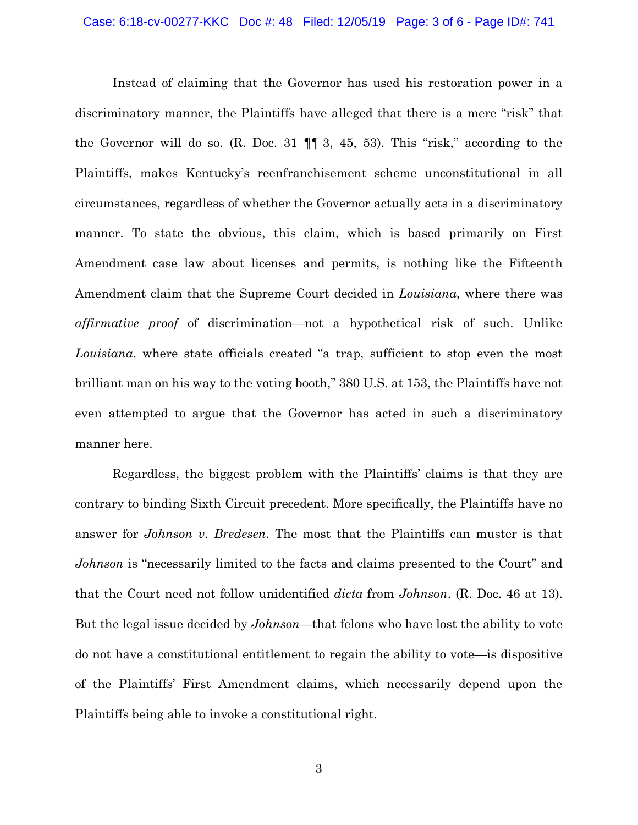Instead of claiming that the Governor has used his restoration power in a discriminatory manner, the Plaintiffs have alleged that there is a mere "risk" that the Governor will do so. (R. Doc. 31  $\P$ , 3, 45, 53). This "risk," according to the Plaintiffs, makes Kentucky's reenfranchisement scheme unconstitutional in all circumstances, regardless of whether the Governor actually acts in a discriminatory manner. To state the obvious, this claim, which is based primarily on First Amendment case law about licenses and permits, is nothing like the Fifteenth Amendment claim that the Supreme Court decided in *Louisiana*, where there was *affirmative proof* of discrimination—not a hypothetical risk of such. Unlike *Louisiana*, where state officials created "a trap, sufficient to stop even the most brilliant man on his way to the voting booth," 380 U.S. at 153, the Plaintiffs have not even attempted to argue that the Governor has acted in such a discriminatory manner here.

Regardless, the biggest problem with the Plaintiffs' claims is that they are contrary to binding Sixth Circuit precedent. More specifically, the Plaintiffs have no answer for *Johnson v. Bredesen*. The most that the Plaintiffs can muster is that *Johnson* is "necessarily limited to the facts and claims presented to the Court" and that the Court need not follow unidentified *dicta* from *Johnson*. (R. Doc. 46 at 13). But the legal issue decided by *Johnson*—that felons who have lost the ability to vote do not have a constitutional entitlement to regain the ability to vote—is dispositive of the Plaintiffs' First Amendment claims, which necessarily depend upon the Plaintiffs being able to invoke a constitutional right.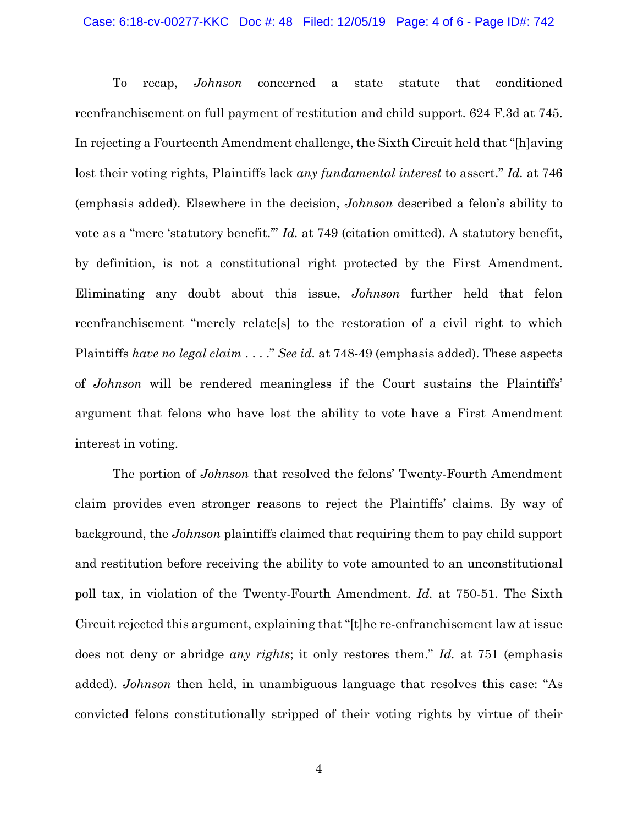#### Case: 6:18-cv-00277-KKC Doc #: 48 Filed: 12/05/19 Page: 4 of 6 - Page ID#: 742

To recap, *Johnson* concerned a state statute that conditioned reenfranchisement on full payment of restitution and child support. 624 F.3d at 745. In rejecting a Fourteenth Amendment challenge, the Sixth Circuit held that "[h]aving lost their voting rights, Plaintiffs lack *any fundamental interest* to assert." *Id.* at 746 (emphasis added). Elsewhere in the decision, *Johnson* described a felon's ability to vote as a "mere 'statutory benefit.'" *Id.* at 749 (citation omitted). A statutory benefit, by definition, is not a constitutional right protected by the First Amendment. Eliminating any doubt about this issue, *Johnson* further held that felon reenfranchisement "merely relate[s] to the restoration of a civil right to which Plaintiffs *have no legal claim* . . . ." *See id.* at 748-49 (emphasis added). These aspects of *Johnson* will be rendered meaningless if the Court sustains the Plaintiffs' argument that felons who have lost the ability to vote have a First Amendment interest in voting.

The portion of *Johnson* that resolved the felons' Twenty-Fourth Amendment claim provides even stronger reasons to reject the Plaintiffs' claims. By way of background, the *Johnson* plaintiffs claimed that requiring them to pay child support and restitution before receiving the ability to vote amounted to an unconstitutional poll tax, in violation of the Twenty-Fourth Amendment. *Id.* at 750-51. The Sixth Circuit rejected this argument, explaining that "[t]he re-enfranchisement law at issue does not deny or abridge *any rights*; it only restores them." *Id.* at 751 (emphasis added). *Johnson* then held, in unambiguous language that resolves this case: "As convicted felons constitutionally stripped of their voting rights by virtue of their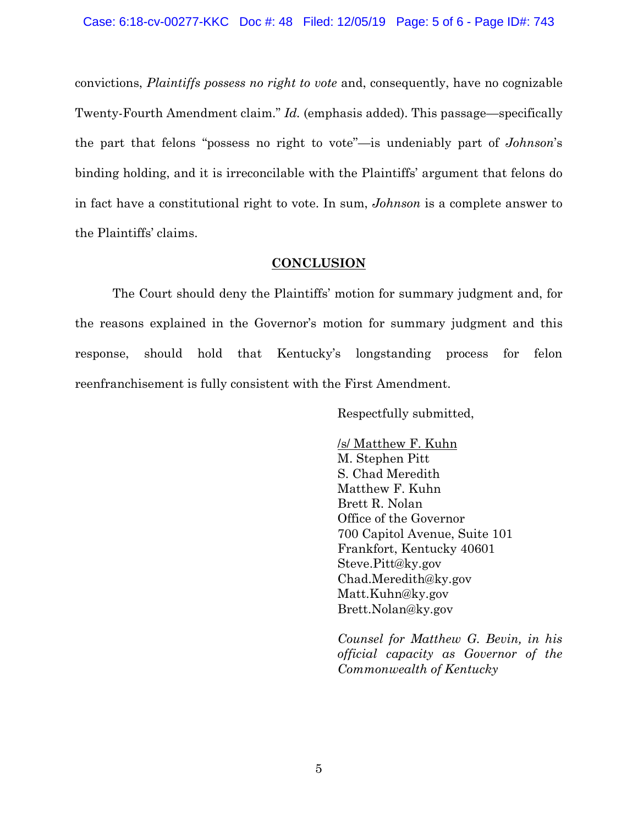convictions, *Plaintiffs possess no right to vote* and, consequently, have no cognizable Twenty-Fourth Amendment claim." *Id.* (emphasis added). This passage—specifically the part that felons "possess no right to vote"—is undeniably part of *Johnson*'s binding holding, and it is irreconcilable with the Plaintiffs' argument that felons do in fact have a constitutional right to vote. In sum, *Johnson* is a complete answer to the Plaintiffs' claims.

### **CONCLUSION**

The Court should deny the Plaintiffs' motion for summary judgment and, for the reasons explained in the Governor's motion for summary judgment and this response, should hold that Kentucky's longstanding process for felon reenfranchisement is fully consistent with the First Amendment.

Respectfully submitted,

/s/ Matthew F. Kuhn M. Stephen Pitt S. Chad Meredith Matthew F. Kuhn Brett R. Nolan Office of the Governor 700 Capitol Avenue, Suite 101 Frankfort, Kentucky 40601 Steve.Pitt@ky.gov Chad.Meredith@ky.gov Matt.Kuhn@ky.gov Brett.Nolan@ky.gov

*Counsel for Matthew G. Bevin, in his official capacity as Governor of the Commonwealth of Kentucky*